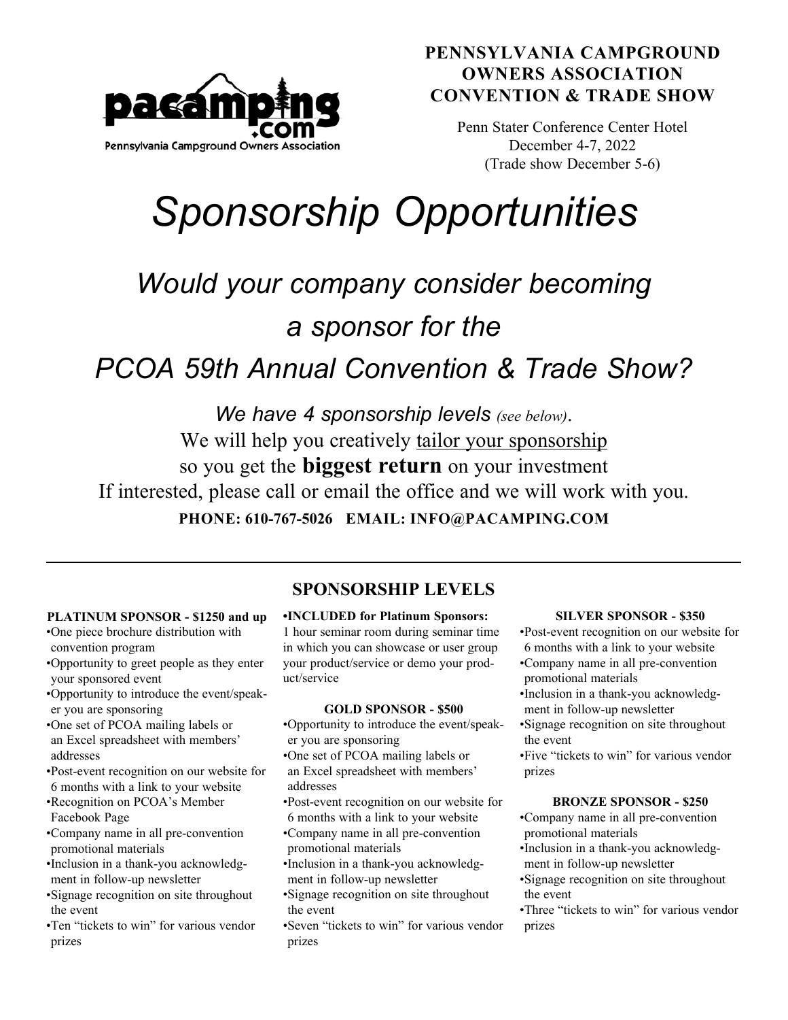

### **PENNSYLVANIA CAMPGROUND OWNERS ASSOCIATION CONVENTION & TRADE SHOW**

Penn Stater Conference Center Hotel December 4-7, 2022 (Trade show December 5-6)

# *Sponsorship Opportunities*

# *Would your company consider becoming a sponsor for the*

# *PCOA 59th Annual Convention & Trade Show?*

*We have 4 sponsorship levels (see below)*. We will help you creatively tailor your sponsorship so you get the **biggest return** on your investment If interested, please call or email the office and we will work with you. **PHONE: 610-767-5026 EMAIL: INFO@PACAMPING.COM**

## **PLATINUM SPONSOR - \$1250 and up**

- •One piece brochure distribution with convention program
- •Opportunity to greet people as they enter your sponsored event
- •Opportunity to introduce the event/speaker you are sponsoring
- •One set of PCOA mailing labels or an Excel spreadsheet with members' addresses
- •Post-event recognition on our website for 6 months with a link to your website
- •Recognition on PCOA's Member Facebook Page
- •Company name in all pre-convention promotional materials
- •Inclusion in a thank-you acknowledgment in follow-up newsletter
- •Signage recognition on site throughout the event
- •Ten "tickets to win" for various vendor prizes

### **•INCLUDED for Platinum Sponsors: SPONSORSHIP LEVELS**

1 hour seminar room during seminar time in which you can showcase or user group your product/service or demo your product/service

#### **GOLD SPONSOR - \$500**

- •Opportunity to introduce the event/speaker you are sponsoring
- •One set of PCOA mailing labels or an Excel spreadsheet with members' addresses
- •Post-event recognition on our website for 6 months with a link to your website
- •Company name in all pre-convention promotional materials
- •Inclusion in a thank-you acknowledgment in follow-up newsletter
- •Signage recognition on site throughout the event
- •Seven "tickets to win" for various vendor prizes

#### **SILVER SPONSOR - \$350**

- •Post-event recognition on our website for 6 months with a link to your website
- •Company name in all pre-convention promotional materials
- •Inclusion in a thank-you acknowledgment in follow-up newsletter
- •Signage recognition on site throughout the event
- •Five "tickets to win" for various vendor prizes

#### **BRONZE SPONSOR - \$250**

- •Company name in all pre-convention promotional materials
- •Inclusion in a thank-you acknowledgment in follow-up newsletter
- •Signage recognition on site throughout the event
- •Three "tickets to win" for various vendor prizes